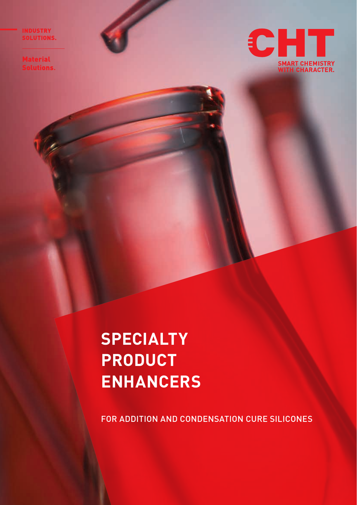**INDUSTRY<br>SOLUTIONS.** 

Material<br>Solutions.



# **SPECIALTY PRODUCT ENHANCERS**

FOR ADDITION AND CONDENSATION CURE SILICONES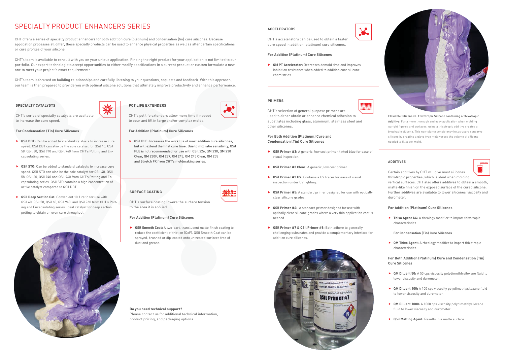# SPECIALTY PRODUCT ENHANCERS SERIES

CHT offers a series of specialty product enhancers for both addition cure (platinum) and condensation (tin) cure silicones. Because application processes all differ, these specialty products can be used to enhance physical properties as well as alter certain specifications or cure profiles of your silicone.

CHT's team is available to consult with you on your unique application. Finding the right product for your application is not limited to our portfolio. Our expert technologists accept opportunities to either modify specifications in a current product or custom formulate a new one to meet your project's exact requirements.

CHT's team is focused on building relationships and carefully listening to your questions, requests and feedback. With this approach, our team is then prepared to provide you with optimal silicone solutions that ultimately improve productivity and enhance performance.

- **▶ QSil DBT:** Can be added to standard catalysts to increase cure speed. QSil DBT can also be the sole catalyst for QSil 40, QSil 58, QSil 60, QSil 940 and QSil 960 from CHT's Potting and Encapsulating series.
- **► QSil STO:** Can be added to standard catalysts to increase cure speed. QSil STO can also be the sole catalyst for QSil 40, QSil 58, QSil 60, QSil 940 and QSil 960 from CHT's Potting and Encapsulating series. QSil STO contains a high concentration of active catalyst compared to QSil DBT.
- **F** QSil Deep Section Cat: Convenient 10:1 ratio for use with QSil 40, QSil 58, QSil 60, QSil 940, and QSil 960 from CHT's Potting and Encapsulating series. Ideal catalyst for deep section potting to obtain an even cure throughout.



# **SPECIALTY CATALYSTS**

CHT's series of specialty catalysts are available to increase the cure speed.

#### **For Condensation (Tin) Cure Silicones**

▶ QSil PLE: Increases the work life of most addition cure silicones, but will extend the final cure time. Due to mix ratio sensitivity, QSil PLE is not recommended for use with QSil 226, QM 230, QM 230 Clear, QM 230F, QM 237, QM 245, QM 245 Clear, QM 255 and Stretch FX from CHT's moldmaking series.

**F QM PT Accelerator:** Decreases demold time and improves inhibition resistance when added to addition cure silicone chemistries.

> **Fixo Agent AC:** A rheology modifier to impart thixotropic characteristics.

> **F QM Thixo Agent:** A rheology modifier to impart thixotropic characteristics.

# **SURFACE COATING**

CHT's surface coating lowers the surface tension to the area it is applied.

# **For Addition (Platinum) Cure Silicones**

**F** OSil Smooth Coat: A two-part, translucent matte finish coating to reduce the coefficient of friction (CoF). QSil Smooth Coat can be sprayed, brushed or dip-coated onto untreated surfaces free of dust and grease.



CHT's pot life extenders allow more time if needed to pour and fill in large and/or complex molds.

### **For Addition (Platinum) Cure Silicones**

- **► QSil Primer #3:** A generic, low cost primer, tinted blue for ease of visual inspection.
- ▶ QSil Primer #3 Clear: A generic, low cost primer.
- ▶ QSil Primer #3 UV: Contains a UV tracer for ease of visual inspection under UV lighting.
- **► QSil Primer #5:** A standard primer designed for use with optically clear silicone grades.
- **F QSil Primer #6:** A standard primer designed for use with optically clear silicone grades where a very thin application coat is needed.
- **F** QSil Primer #7 & QSil Primer #8: Both adhere to generally challenging substrates and provide a complementary interface for addition cure silicones.













**Do you need technical support?** Please contact us for additional technical information, product pricing, and packaging options.

# **ACCELERATORS**

CHT's accelerators can be used to obtain a faster cure speed in addition (platinum) cure silicones.

#### **For Addition (Platinum) Cure Silicones**

# **ADDITIVES**

Certain additives by CHT will give most silicones thixotropic properties, which is ideal when molding vertical surfaces. CHT also offers additives to obtain a smooth, matte-like finish on the exposed surface of the cured silicone. Further additives are available to lower silicones' viscosity and durometer.

# **For Addition (Platinum) Cure Silicones**

**For Condensation (Tin) Cure Silicones**

# **For Both Addition (Platinum) Cure and Condensation (Tin) Cure Silicones**

- **QM Diluent 50:** A 50 cps viscosity polydimethlysiloxane fluid to lower viscosity and durometer.
- **QM Diluent 100:** A 100 cps viscosity polydimethlysiloxane fluid to lower viscosity and durometer.
- **QM Diluent 1000:** A 1000 cps viscosity polydimethlysiloxane fluid to lower viscosity and durometer.
- **F** QSil Matting Agent: Results in a matte surface.

# **PRIMERS**

CHT's selection of general purpose primers are used to either obtain or enhance chemical adhesion to substrates including glass, aluminum, stainless steel and other silicones.

# **For Both Addition (Platinum) Cure and Condensation (Tin) Cure Silicones**

Flowable Silicone vs. Thixotropic Silicone containing a Thixotropic Additive: For a more thorough and easy application when molding upright figures and surfaces, using a thixotropic additive creates a brushable silicone. This non-slump consistency helps users conserve silicone by creating a glove type mold verses the volume of silicone needed to fill a box mold.